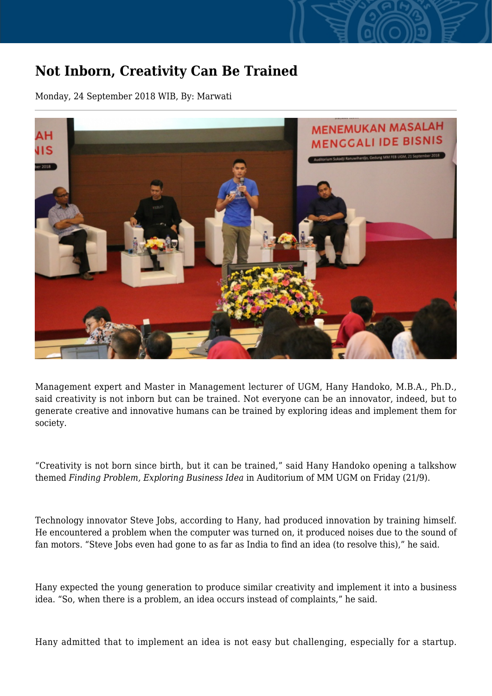## **Not Inborn, Creativity Can Be Trained**

Monday, 24 September 2018 WIB, By: Marwati



Management expert and Master in Management lecturer of UGM, Hany Handoko, M.B.A., Ph.D., said creativity is not inborn but can be trained. Not everyone can be an innovator, indeed, but to generate creative and innovative humans can be trained by exploring ideas and implement them for society.

"Creativity is not born since birth, but it can be trained," said Hany Handoko opening a talkshow themed *Finding Problem, Exploring Business Idea* in Auditorium of MM UGM on Friday (21/9).

Technology innovator Steve Jobs, according to Hany, had produced innovation by training himself. He encountered a problem when the computer was turned on, it produced noises due to the sound of fan motors. "Steve Jobs even had gone to as far as India to find an idea (to resolve this)," he said.

Hany expected the young generation to produce similar creativity and implement it into a business idea. "So, when there is a problem, an idea occurs instead of complaints," he said.

Hany admitted that to implement an idea is not easy but challenging, especially for a startup.